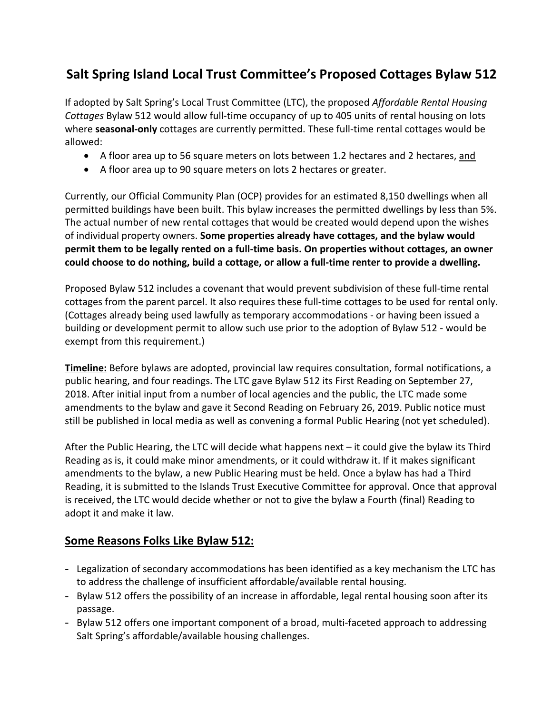## **Salt Spring Island Local Trust Committee's Proposed Cottages Bylaw 512**

If adopted by Salt Spring's Local Trust Committee (LTC), the proposed *Affordable Rental Housing Cottages* Bylaw 512 would allow full-time occupancy of up to 405 units of rental housing on lots where **seasonal-only** cottages are currently permitted. These full-time rental cottages would be allowed:

- A floor area up to 56 square meters on lots between 1.2 hectares and 2 hectares, and
- A floor area up to 90 square meters on lots 2 hectares or greater.

Currently, our Official Community Plan (OCP) provides for an estimated 8,150 dwellings when all permitted buildings have been built. This bylaw increases the permitted dwellings by less than 5%. The actual number of new rental cottages that would be created would depend upon the wishes of individual property owners. **Some properties already have cottages, and the bylaw would permit them to be legally rented on a full-time basis. On properties without cottages, an owner could choose to do nothing, build a cottage, or allow a full-time renter to provide a dwelling.**

Proposed Bylaw 512 includes a covenant that would prevent subdivision of these full-time rental cottages from the parent parcel. It also requires these full-time cottages to be used for rental only. (Cottages already being used lawfully as temporary accommodations - or having been issued a building or development permit to allow such use prior to the adoption of Bylaw 512 - would be exempt from this requirement.)

**Timeline:** Before bylaws are adopted, provincial law requires consultation, formal notifications, a public hearing, and four readings. The LTC gave Bylaw 512 its First Reading on September 27, 2018. After initial input from a number of local agencies and the public, the LTC made some amendments to the bylaw and gave it Second Reading on February 26, 2019. Public notice must still be published in local media as well as convening a formal Public Hearing (not yet scheduled).

After the Public Hearing, the LTC will decide what happens next – it could give the bylaw its Third Reading as is, it could make minor amendments, or it could withdraw it. If it makes significant amendments to the bylaw, a new Public Hearing must be held. Once a bylaw has had a Third Reading, it is submitted to the Islands Trust Executive Committee for approval. Once that approval is received, the LTC would decide whether or not to give the bylaw a Fourth (final) Reading to adopt it and make it law.

## **Some Reasons Folks Like Bylaw 512:**

- Legalization of secondary accommodations has been identified as a key mechanism the LTC has to address the challenge of insufficient affordable/available rental housing.
- Bylaw 512 offers the possibility of an increase in affordable, legal rental housing soon after its passage.
- Bylaw 512 offers one important component of a broad, multi-faceted approach to addressing Salt Spring's affordable/available housing challenges.